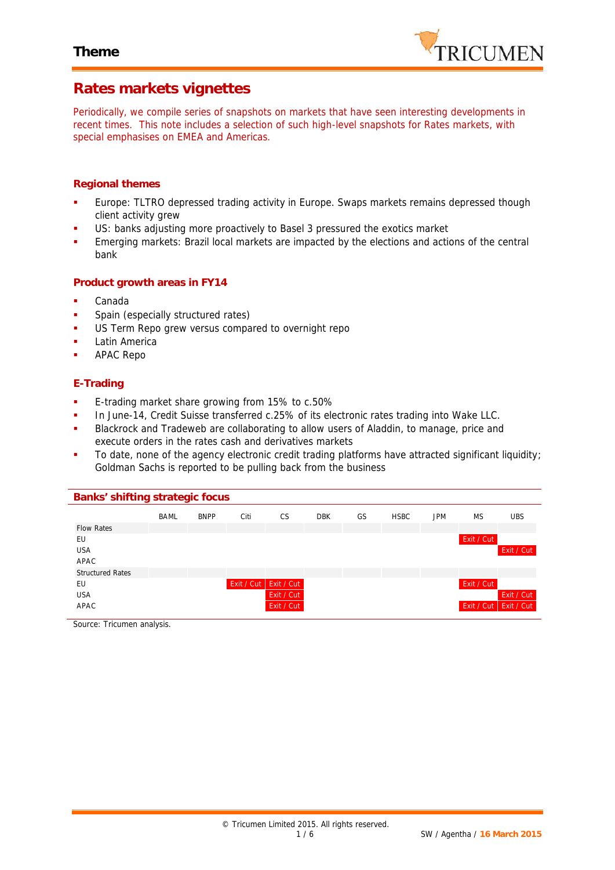

## **Rates markets vignettes**

*Periodically, we compile series of snapshots on markets that have seen interesting developments in recent times. This note includes a selection of such high-level snapshots for Rates markets, with special emphasises on EMEA and Americas.*

### **Regional themes**

- Europe: TLTRO depressed trading activity in Europe. Swaps markets remains depressed though client activity grew
- US: banks adjusting more proactively to Basel 3 pressured the exotics market
- Emerging markets: Brazil local markets are impacted by the elections and actions of the central bank

#### **Product growth areas in FY14**

- Canada
- Spain (especially structured rates)
- US Term Repo grew versus compared to overnight repo
- Latin America
- APAC Repo

### **E-Trading**

- **E-trading market share growing from 15% to c.50%**
- In June-14, Credit Suisse transferred c.25% of its electronic rates trading into Wake LLC.
- Blackrock and Tradeweb are collaborating to allow users of Aladdin, to manage, price and execute orders in the rates cash and derivatives markets
- To date, none of the agency electronic credit trading platforms have attracted significant liquidity; Goldman Sachs is reported to be pulling back from the business

| Banks' shifting strategic focus |             |             |            |            |            |    |             |            |                         |            |
|---------------------------------|-------------|-------------|------------|------------|------------|----|-------------|------------|-------------------------|------------|
|                                 | <b>BAML</b> | <b>BNPP</b> | Citi       | <b>CS</b>  | <b>DBK</b> | GS | <b>HSBC</b> | <b>JPM</b> | <b>MS</b>               | <b>UBS</b> |
| <b>Flow Rates</b>               |             |             |            |            |            |    |             |            |                         |            |
| EU                              |             |             |            |            |            |    |             |            | Exit / Cut              |            |
| <b>USA</b>                      |             |             |            |            |            |    |             |            |                         | Exit / Cut |
| APAC                            |             |             |            |            |            |    |             |            |                         |            |
| <b>Structured Rates</b>         |             |             |            |            |            |    |             |            |                         |            |
| EU                              |             |             | Exit / Cut | Exit / Cut |            |    |             |            | Exit / Cut              |            |
| <b>USA</b>                      |             |             |            | Exit / Cut |            |    |             |            |                         | Exit / Cut |
| APAC                            |             |             |            | Exit / Cut |            |    |             |            | Exit / Cut   Exit / Cut |            |
|                                 |             |             |            |            |            |    |             |            |                         |            |

*Source: Tricumen analysis.*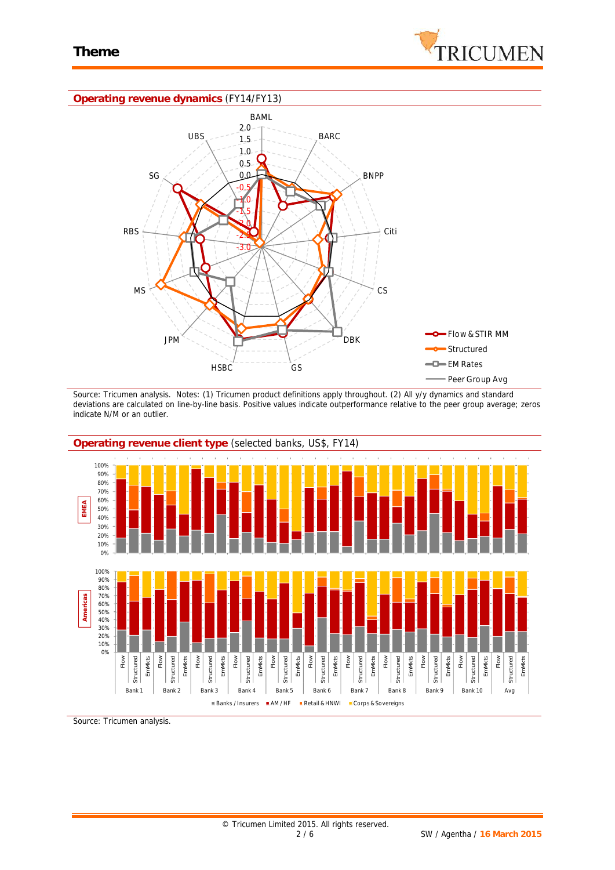

#### **Operating revenue dynamics** (FY14/FY13)



*Source: Tricumen analysis. Notes: (1) Tricumen product definitions apply throughout. (2) All y/y dynamics and standard deviations are calculated on line-by-line basis. Positive values indicate outperformance relative to the peer group average; zeros indicate N/M or an outlier.*



*Source: Tricumen analysis.*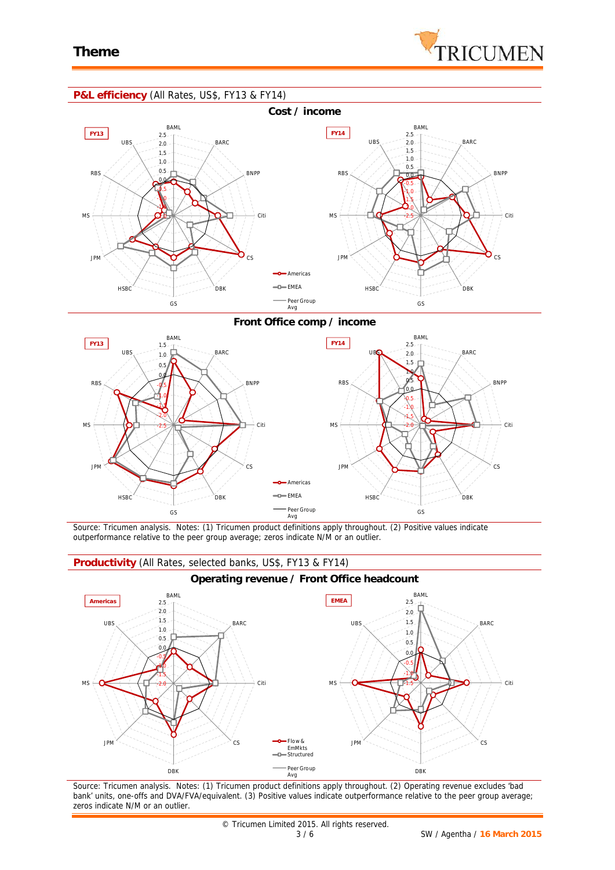

### **P&L efficiency** (All Rates, US\$, FY13 & FY14)



**Front Office comp / income**



*Source: Tricumen analysis. Notes: (1) Tricumen product definitions apply throughout. (2) Positive values indicate outperformance relative to the peer group average; zeros indicate N/M or an outlier.*

#### **Productivity** (All Rates, selected banks, US\$, FY13 & FY14)



*Source: Tricumen analysis. Notes: (1) Tricumen product definitions apply throughout. (2) Operating revenue excludes 'bad bank' units, one-offs and DVA/FVA/equivalent. (3) Positive values indicate outperformance relative to the peer group average; zeros indicate N/M or an outlier.*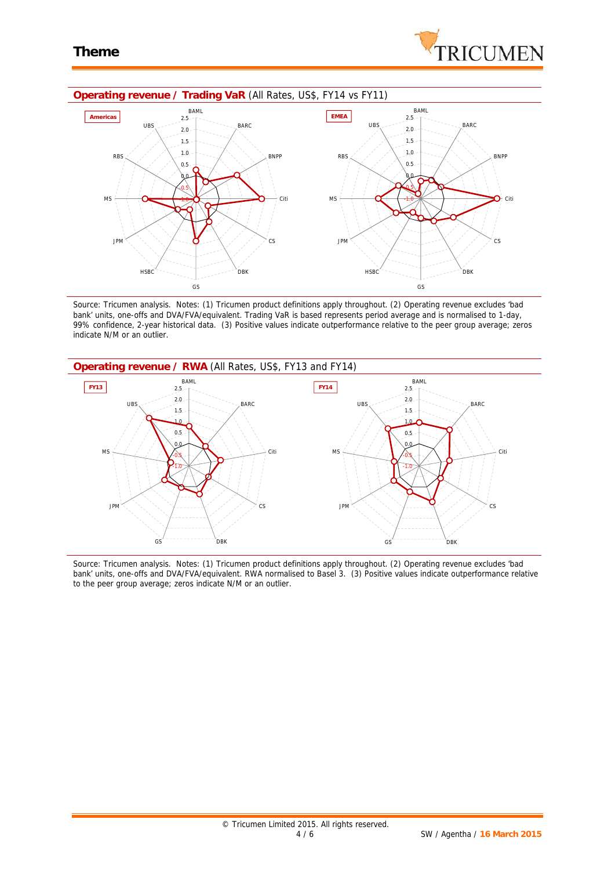



*Source: Tricumen analysis. Notes: (1) Tricumen product definitions apply throughout. (2) Operating revenue excludes 'bad bank' units, one-offs and DVA/FVA/equivalent. Trading VaR is based represents period average and is normalised to 1-day, 99% confidence, 2-year historical data. (3) Positive values indicate outperformance relative to the peer group average; zeros indicate N/M or an outlier.*



*Source: Tricumen analysis. Notes: (1) Tricumen product definitions apply throughout. (2) Operating revenue excludes 'bad bank' units, one-offs and DVA/FVA/equivalent. RWA normalised to Basel 3. (3) Positive values indicate outperformance relative to the peer group average; zeros indicate N/M or an outlier.*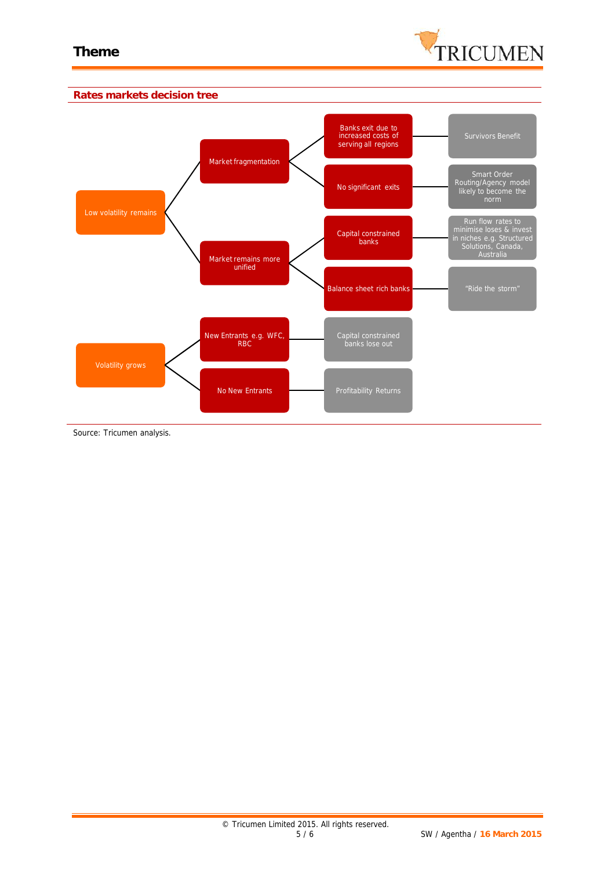



*Source: Tricumen analysis.*